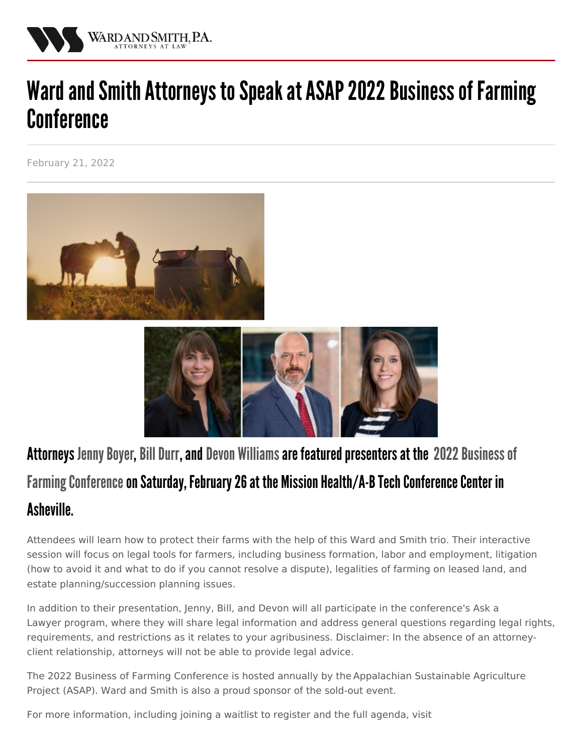

## Ward and Smith Attorneys to Speak at ASAP 2022 Business of Farming **Conference**

February 21, 2022





## Attorneys Jenny Boyer, Bill Durr, and Devon [Williams](/attorneys/devon-williams) are featured presenters at the 2022 Business of Farming Conference on Saturday, February 26 at the Mission Health/A-B Tech Conference Center in **Asheville**

Attendees will learn how to protect their farms with the help of this Ward and Smith trio. Their interactive session will focus on legal tools for farmers, including business formation, labor and employment, litigation (how to avoid it and what to do if you cannot resolve a dispute), legalities of farming on leased land, and estate planning/succession planning issues.

In addition to their presentation, Jenny, Bill, and Devon will all participate in the conference's Ask a Lawyer program, where they will share legal information and address general questions regarding legal rights, requirements, and restrictions as it relates to your agribusiness. Disclaimer: In the absence of an attorneyclient relationship, attorneys will not be able to provide legal advice.

The 2022 Business of Farming Conference is hosted annually by the [Appalachian](https://asapconnections.org/) Sustainable Agriculture Project (ASAP). Ward and Smith is also a proud sponsor of the sold-out event.

For more information, including joining a waitlist to register and the full agenda, visit